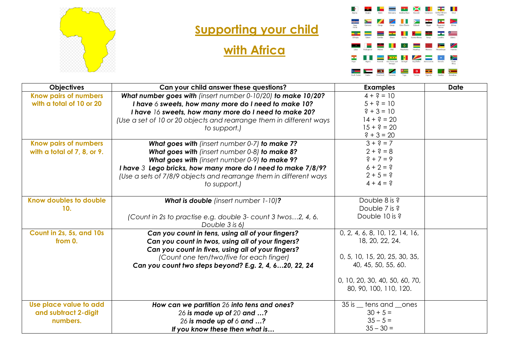

## **Supporting your child**

## **with Africa**



| <b>Objectives</b>            | Can your child answer these questions?                                         | <b>Examples</b>                | <b>Date</b> |
|------------------------------|--------------------------------------------------------------------------------|--------------------------------|-------------|
| <b>Know pairs of numbers</b> | What number goes with (insert number 0-10/20) to make 10/20?                   | $4 + 3 = 10$                   |             |
| with a total of 10 or 20     | I have 6 sweets, how many more do I need to make 10?                           | $5 + 3 = 10$                   |             |
|                              | I have 16 sweets, how many more do I need to make 20?                          | $? + 3 = 10$                   |             |
|                              | (Use a set of 10 or 20 objects and rearrange them in different ways            | $14 + ? = 20$                  |             |
|                              | to support.)                                                                   | $15 + ? = 20$                  |             |
|                              |                                                                                | $? + 3 = 20$                   |             |
| <b>Know pairs of numbers</b> | What goes with (insert number 0-7) to make 7?                                  | $3 + ? = 7$                    |             |
| with a total of 7, 8, or 9.  | What goes with (insert number 0-8) to make 8?                                  | $2 + 3 = 8$                    |             |
|                              | What goes with (insert number 0-9) to make 9?                                  | $? + 7 = 9$                    |             |
|                              | I have 3 Lego bricks, how many more do I need to make 7/8/9?                   | $6 + 2 = ?$                    |             |
|                              | (Use a sets of 7/8/9 objects and rearrange them in different ways              | $2 + 5 = ?$                    |             |
|                              | to support.)                                                                   | $4 + 4 = ?$                    |             |
| Know doubles to double       | What is double (insert number 1-10)?                                           | Double 8 is ?                  |             |
| 10.                          |                                                                                | Double 7 is ?                  |             |
|                              | (Count in 2s to practise e.g. double 3- count 3 twos2, 4, 6.<br>Double 3 is 6) | Double 10 is ?                 |             |
| Count in 2s, 5s, and 10s     | Can you count in tens, using all of your fingers?                              | 0, 2, 4, 6, 8, 10, 12, 14, 16, |             |
| from 0.                      | Can you count in twos, using all of your fingers?                              | 18, 20, 22, 24.                |             |
|                              | Can you count in fives, using all of your fingers?                             |                                |             |
|                              | (Count one ten/two/five for each finger)                                       | 0, 5, 10, 15, 20, 25, 30, 35,  |             |
|                              | Can you count two steps beyond? E.g. 2, 4, 620, 22, 24                         | 40, 45, 50, 55, 60.            |             |
|                              |                                                                                | 0, 10, 20, 30, 40, 50, 60, 70, |             |
|                              |                                                                                | 80, 90, 100, 110, 120.         |             |
|                              |                                                                                |                                |             |
| Use place value to add       | How can we partition 26 into tens and ones?                                    | 35 is <u>etens</u> and cones   |             |
| and subtract 2-digit         | 26 is made up of 20 and ?                                                      | $30 + 5 =$                     |             |
| numbers.                     | 26 is made up of 6 and ?                                                       | $35 - 5 =$                     |             |
|                              | If you know these then what is                                                 | $35 - 30 =$                    |             |